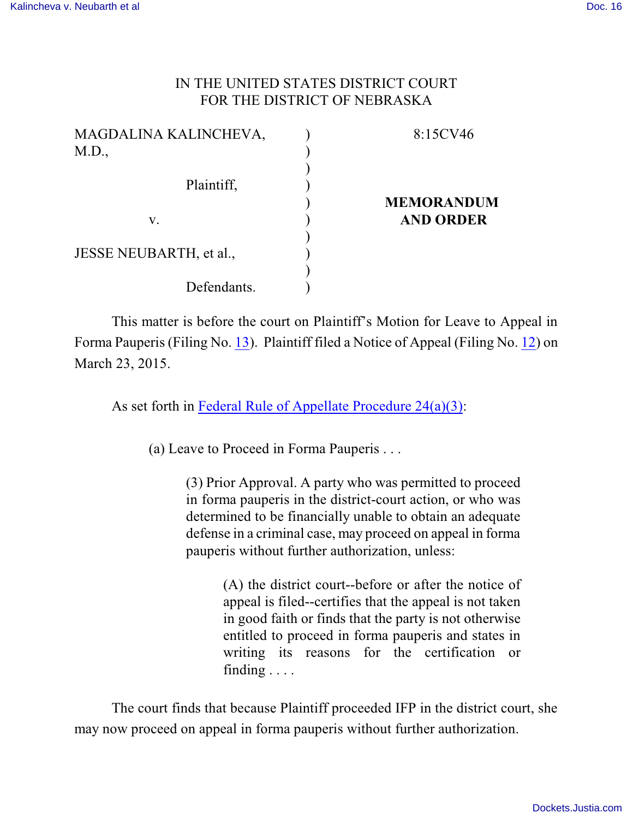## IN THE UNITED STATES DISTRICT COURT FOR THE DISTRICT OF NEBRASKA

| MAGDALINA KALINCHEVA,   | 8:15CV46          |
|-------------------------|-------------------|
| M.D.,                   |                   |
|                         |                   |
| Plaintiff,              |                   |
|                         | <b>MEMORANDUM</b> |
| V.                      | <b>AND ORDER</b>  |
|                         |                   |
| JESSE NEUBARTH, et al., |                   |
|                         |                   |
| Defendants.             |                   |

This matter is before the court on Plaintiff's Motion for Leave to Appeal in Forma Pauperis (Filing No. [13](https://ecf.ned.uscourts.gov/doc1/11313238095)). Plaintiff filed a Notice of Appeal (Filing No. [12](https://ecf.ned.uscourts.gov/doc1/11313238086)) on March 23, 2015.

As set forth in [Federal Rule of Appellate Procedure 24\(a\)\(3\)](http://web2.westlaw.com/find/default.wl?rp=%2ffind%2fdefault.wl&sv=Split&utid=3&rs=WLW11.04&cite=frap+24&fn=_top&mt=EighthCircuit&vr=2.0):

(a) Leave to Proceed in Forma Pauperis . . .

(3) Prior Approval. A party who was permitted to proceed in forma pauperis in the district-court action, or who was determined to be financially unable to obtain an adequate defense in a criminal case, may proceed on appeal in forma pauperis without further authorization, unless:

> (A) the district court--before or after the notice of appeal is filed--certifies that the appeal is not taken in good faith or finds that the party is not otherwise entitled to proceed in forma pauperis and states in writing its reasons for the certification or finding . . . .

The court finds that because Plaintiff proceeded IFP in the district court, she may now proceed on appeal in forma pauperis without further authorization.